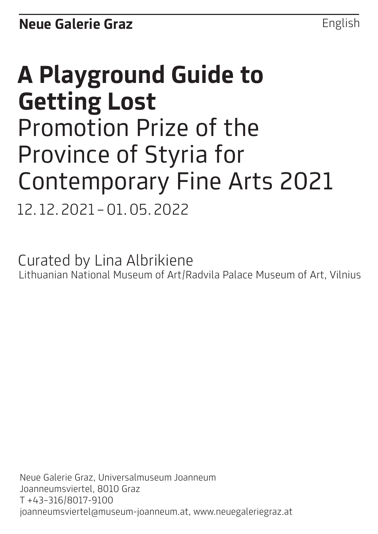English

# **A Playground Guide to Getting Lost** Promotion Prize of the Province of Styria for Contemporary Fine Arts 2021 12. 12.2021 –01.05.2022

Curated by Lina Albrikiene Lithuanian National Museum of Art/Radvila Palace Museum of Art, Vilnius

Neue Galerie Graz, Universalmuseum Joanneum Joanneumsviertel, 8010 Graz T +43–316/8017-9100 joanneumsviertel@museum-joanneum.at, www.neuegaleriegraz.at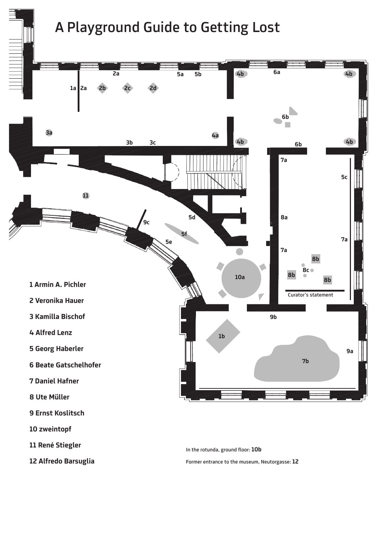# A Playground Guide to Getting Lost



**12 Alfredo Barsuglia**

Former entrance to the museum, Neutorgasse: **12**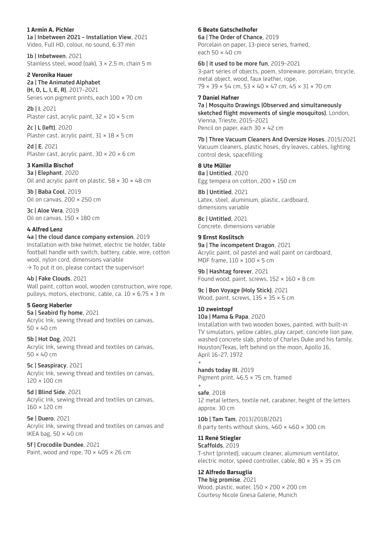**1 Armin A. Pichler**  1a | Inbetween 2021 – Installation View, 2021 Video, Full HD, colour, no sound, 6:37 min

1b | Inbetween, 2021 Stainless steel, wood (oak), 3 × 2,5 m, chain 5 m

**2 Veronika Hauer**  2a | The Animated Alphabet

(H, O, L, I, E, R), 2017–2021 Series von pigment prints, each 100 × 70 cm

2b | I, 2021 Plaster cast, acrylic paint,  $32 \times 10 \times 5$  cm

2c | L (left), 2020 Plaster cast, acrylic paint,  $31 \times 18 \times 5$  cm

2d | E, 2021 Plaster cast, acrylic paint,  $30 \times 20 \times 6$  cm

**3 Kamilla Bischof** 3a | Elephant, 2020 Oil and acrylic paint on plastic,  $58 \times 30 \times 48$  cm

3b | Baba Cool, 2019 Oil on canvas, 200 × 250 cm

3c | Aloe Vera, 2019 Oil on canvas,  $150 \times 180$  cm

## **4 Alfred Lenz**

#### 4a | the cloud dance company extension, 2019

Installation with bike helmet, electric tie holder, table football handle with switch, battery, cable, wire, cotton wool, nylon cord, dimensions variable  $\rightarrow$  To put it on, please contact the supervisor!

4b | Fake Clouds, 2021

Wall paint, cotton wool, wooden construction, wire rope, pulleys, motors, electronic, cable, ca. 10 × 6,75 × 3 m

#### **5 Georg Haberler**

5a | Seabird fly home, 2021 Acrylic Ink, sewing thread and textiles on canvas,  $50 \times 40$  cm

5b | Hot Dog, 2021 Acrylic Ink, sewing thread and textiles on canvas, 50 × 40 cm

5c | Seaspiracy, 2021 Acrylic Ink, sewing thread and textiles on canvas,  $120 \times 100$  cm

5d | Blind Side, 2021 Acrylic Ink, sewing thread and textiles on canvas, 160 × 120 cm

5e | Duero, 2021 Acrylic Ink, sewing thread and textiles on canvas and IKEA bag,  $50 \times 40$  cm

5f | Crocodile Dundee, 2021 Paint, wood and rope,  $70 \times 405 \times 26$  cm **6 Beate Gatschelhofer**

6a | The Order of Chance, 2019 Porcelain on paper, 13-piece series, framed, each 50 × 40 cm

6b | it used to be more fun, 2019–2021 3-part series of objects, poem, stoneware, porcelain, tricycle, metal object, wood, faux leather, rope, 79 × 39 × 54 cm, 53 × 40 × 47 cm, 45 × 31 × 70 cm

**7 Daniel Hafner**  7a | Mosquito Drawings (Observed and simultaneously sketched flight movements of single mosquitos), London, Vienna, Trieste, 2015–2021 Pencil on paper, each 30 × 42 cm

7b | Three Vacuum Cleaners And Oversize Hoses, 2015/2021 Vacuum cleaners, plastic hoses, dry leaves, cables, lighting control desk, spacefilling

**8 Ute Müller**  8a | Untitled, 2020 Egg tempera on cotton, 200 × 150 cm

8b | Untitled, 2021 Latex, steel, aluminium, plastic, cardboard, dimensions variable

8c | Untitled, 2021 Concrete, dimensions variable

**9 Ernst Koslitsch** 9a | The incompetent Dragon, 2021 Acrylic paint, oil pastel and wall paint on cardboard, MDF frame,  $110 \times 100 \times 5$  cm

9b | Hashtag forever, 2021 Found wood, paint, screws,  $152 \times 160 \times 8$  cm

9c | Bon Voyage (Holy Stick), 2021 Wood, paint, screws,  $135 \times 35 \times 5$  cm

#### **10 zweintopf** 10a | Mama & Papa, 2020

Installation with two wooden boxes, painted, with built-in TV simulators, yellow cables, play carpet, concrete lion paw, washed concrete slab, photo of Charles Duke and his family, Houston/Texas, left behind on the moon, Apollo 16, April 16–27, 1972

+ hands today III, 2019 Pigment print, 46,5 × 75 cm, framed

safe, 2018 12 metal letters, textile net, carabiner, height of the letters approx. 30 cm

10b | Tam Tam, 2013/2018/2021 8 party tents without skins, 460 × 460 × 300 cm

**11 René Stiegler**  Scaffolds, 2019 T-shirt (printed), vacuum cleaner, aluminium ventilator, electric motor, speed controller, cable, 80 × 35 × 35 cm

# **12 Alfredo Barsuglia**

+

The big promise, 2021 Wood, plastic, water,  $150 \times 200 \times 200$  cm Courtesy Nicole Gnesa Galerie, Munich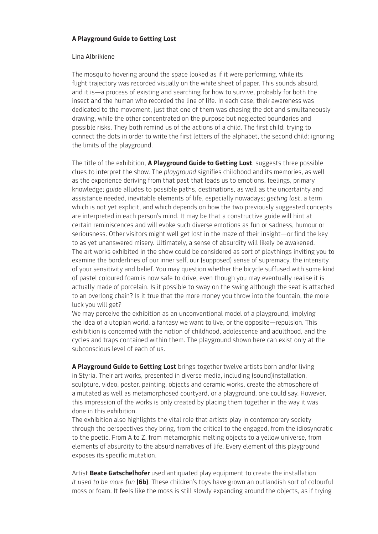# **A Playground Guide to Getting Lost**

## Lina Albrikiene

The mosquito hovering around the space looked as if it were performing, while its flight trajectory was recorded visually on the white sheet of paper. This sounds absurd, and it is—a process of existing and searching for how to survive, probably for both the insect and the human who recorded the line of life. In each case, their awareness was dedicated to the movement, just that one of them was chasing the dot and simultaneously drawing, while the other concentrated on the purpose but neglected boundaries and possible risks. They both remind us of the actions of a child. The first child: trying to connect the dots in order to write the first letters of the alphabet, the second child: ignoring the limits of the playground.

The title of the exhibition, **A Playground Guide to Getting Lost**, suggests three possible clues to interpret the show. The *playground* signifies childhood and its memories, as well as the experience deriving from that past that leads us to emotions, feelings, primary knowledge; *guide* alludes to possible paths, destinations, as well as the uncertainty and assistance needed, inevitable elements of life, especially nowadays; *getting lost*, a term which is not yet explicit, and which depends on how the two previously suggested concepts are interpreted in each person's mind. It may be that a constructive guide will hint at certain reminiscences and will evoke such diverse emotions as fun or sadness, humour or seriousness. Other visitors might well get lost in the maze of their insight—or find the key to as yet unanswered misery. Ultimately, a sense of absurdity will likely be awakened. The art works exhibited in the show could be considered as sort of playthings inviting you to examine the borderlines of our inner self, our (supposed) sense of supremacy, the intensity of your sensitivity and belief. You may question whether the bicycle suffused with some kind of pastel coloured foam is now safe to drive, even though you may eventually realise it is actually made of porcelain. Is it possible to sway on the swing although the seat is attached to an overlong chain? Is it true that the more money you throw into the fountain, the more luck you will get?

We may perceive the exhibition as an unconventional model of a playground, implying the idea of a utopian world, a fantasy we want to live, or the opposite—repulsion. This exhibition is concerned with the notion of childhood, adolescence and adulthood, and the cycles and traps contained within them. The playground shown here can exist only at the subconscious level of each of us.

**A Playground Guide to Getting Lost** brings together twelve artists born and/or living in Styria. Their art works, presented in diverse media, including (sound)installation, sculpture, video, poster, painting, objects and ceramic works, create the atmosphere of a mutated as well as metamorphosed courtyard, or a playground, one could say. However, this impression of the works is only created by placing them together in the way it was done in this exhibition.

The exhibition also highlights the vital role that artists play in contemporary society through the perspectives they bring, from the critical to the engaged, from the idiosyncratic to the poetic. From A to Z, from metamorphic melting objects to a yellow universe, from elements of absurdity to the absurd narratives of life. Every element of this playground exposes its specific mutation.

Artist **Beate Gatschelhofer** used antiquated play equipment to create the installation *it used to be more fun* **(6b)**. These children's toys have grown an outlandish sort of colourful moss or foam. It feels like the moss is still slowly expanding around the objects, as if trying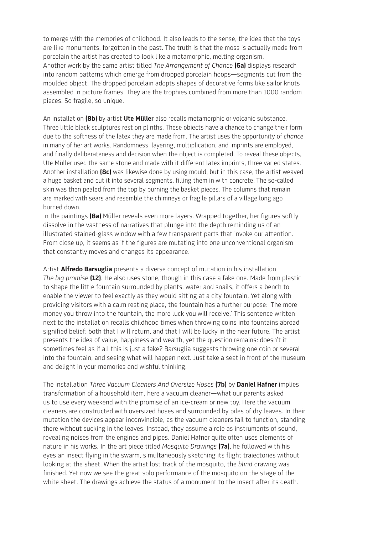to merge with the memories of childhood. It also leads to the sense, the idea that the toys are like monuments, forgotten in the past. The truth is that the moss is actually made from porcelain the artist has created to look like a metamorphic, melting organism. Another work by the same artist titled *The Arrangement of Chance* **(6a)** displays research into random patterns which emerge from dropped porcelain hoops—segments cut from the moulded object. The dropped porcelain adopts shapes of decorative forms like sailor knots assembled in picture frames. They are the trophies combined from more than 1000 random pieces. So fragile, so unique.

An installation **(8b)** by artist **Ute Müller** also recalls metamorphic or volcanic substance. Three little black sculptures rest on plinths. These objects have a chance to change their form due to the softness of the latex they are made from. The artist uses the opportunity of *chance*  in many of her art works. Randomness, layering, multiplication, and imprints are employed, and finally deliberateness and decision when the object is completed. To reveal these objects, Ute Müller used the same stone and made with it different latex imprints, three varied states. Another installation **(8c)** was likewise done by using mould, but in this case, the artist weaved a huge basket and cut it into several segments, filling them in with concrete. The so-called skin was then pealed from the top by burning the basket pieces. The columns that remain are marked with sears and resemble the chimneys or fragile pillars of a village long ago burned down.

In the paintings **(8a)** Müller reveals even more layers. Wrapped together, her figures softly dissolve in the vastness of narratives that plunge into the depth reminding us of an illustrated stained-glass window with a few transparent parts that invoke our attention. From close up, it seems as if the figures are mutating into one unconventional organism that constantly moves and changes its appearance.

Artist **Alfredo Barsuglia** presents a diverse concept of mutation in his installation *The big promise* **(12)**. He also uses stone, though in this case a fake one. Made from plastic to shape the little fountain surrounded by plants, water and snails, it offers a bench to enable the viewer to feel exactly as they would sitting at a city fountain. Yet along with providing visitors with a calm resting place, the fountain has a further purpose: 'The more money you throw into the fountain, the more luck you will receive.' This sentence written next to the installation recalls childhood times when throwing coins into fountains abroad signified belief: both that I will return, and that I will be lucky in the near future. The artist presents the idea of value, happiness and wealth, yet the question remains: doesn't it sometimes feel as if all this is just a fake? Barsuglia suggests throwing one coin or several into the fountain, and seeing what will happen next. Just take a seat in front of the museum and delight in your memories and wishful thinking.

The installation *Three Vacuum Cleaners And Oversize Hoses* **(7b)** by **Daniel Hafner** implies transformation of a household item, here a vacuum cleaner—what our parents asked us to use every weekend with the promise of an ice-cream or new toy. Here the vacuum cleaners are constructed with oversized hoses and surrounded by piles of dry leaves. In their mutation the devices appear inconvincible, as the vacuum cleaners fail to function, standing there without sucking in the leaves. Instead, they assume a role as instruments of sound, revealing noises from the engines and pipes. Daniel Hafner quite often uses elements of nature in his works. In the art piece titled *Mosquito Drawings* **(7a)**, he followed with his eyes an insect flying in the swarm, simultaneously sketching its flight trajectories without looking at the sheet. When the artist lost track of the mosquito, the *blind* drawing was finished. Yet now we see the great solo performance of the mosquito on the stage of the white sheet. The drawings achieve the status of a monument to the insect after its death.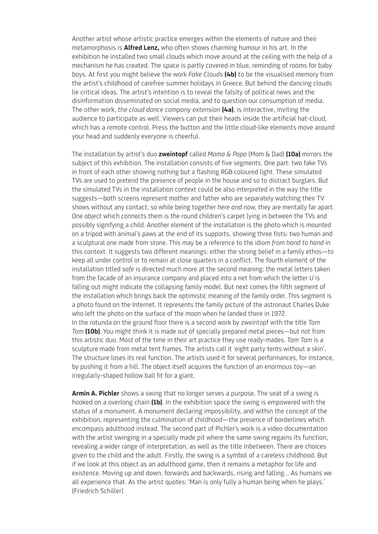Another artist whose artistic practice emerges within the elements of nature and their metamorphosis is **Alfred Lenz,** who often shows charming humour in his art. In the exhibition he installed two small clouds which move around at the ceiling with the help of a mechanism he has created. The space is partly covered in blue, reminding of rooms for baby boys. At first you might believe the work *Fake Clouds* **(4b)** to be the visualised memory from the artist's childhood of carefree summer holidays in Greece. But behind the dancing clouds lie critical ideas. The artist's intention is to reveal the falsity of political news and the disinformation disseminated on social media, and to question our consumption of media. The other work, *the cloud dance company extension* **(4a)**, is interactive, inviting the audience to participate as well. Viewers can put their heads inside the artificial hat-cloud, which has a remote control. Press the button and the little cloud-like elements move around your head and suddenly everyone is cheerful.

The installation by artist's duo **zweintopf** called *Mama & Papa* (Mom & Dad) **(10a)** mirrors the subject of this exhibition. The installation consists of five segments. One part: two fake TVs in front of each other showing nothing but a flashing RGB coloured light. These simulated TVs are used to pretend the presence of people in the house and so to distract burglars. But the simulated TVs in the installation context could be also interpreted in the way the title suggests—both screens represent mother and father who are separately watching their TV shows without any contact, so while being together *here and now,* they are mentally far apart. One object which connects them is the round children's carpet lying in between the TVs and possibly signifying a child. Another element of the installation is the photo which is mounted on a tripod with animal's paws at the end of its supports, showing three fists: two human and a sculptural one made from stone. This may be a reference to the idiom *from hand to hand* in this context. It suggests two different meanings: either the strong belief in a family ethos—to keep all under control or to remain at close quarters in a conflict. The fourth element of the installation titled *safe* is directed much more at the second meaning: the metal letters taken from the facade of an insurance company and placed into a net from which the letter *U* is falling out might indicate the collapsing family model. But next comes the fifth segment of the installation which brings back the optimistic meaning of the family order. This segment is a photo found on the Internet. It represents the family picture of the astronaut Charles Duke who left the photo on the surface of the moon when he landed there in 1972. In the rotunda on the ground floor there is a second work by zweintopf with the title *Tam Tam* **(10b)**. You might think it is made out of specially prepared metal pieces—but not from this artistic duo. Most of the time in their art practice they use ready-mades. *Tam Tam* is a sculpture made from metal tent frames. The artists call it 'eight party tents without a skin'. The structure loses its real function. The artists used it for several performances, for instance, by pushing it from a hill. The object itself acquires the function of an enormous toy—an irregularly-shaped hollow ball fit for a giant.

**Armin A. Pichler** shows a swing that no longer serves a purpose. The seat of a swing is hooked on a overlong chain **(1b)**. In the exhibition space the swing is empowered with the status of a monument. A monument declaring impossibility, and within the concept of the exhibition, representing the culmination of childhood—the presence of borderlines which encompass adulthood instead. The second part of Pichler's work is a video documentation with the artist swinging in a specially made pit where the same swing regains its function, revealing a wider range of interpretation, as well as the title *Inbetween*. There are choices given to the child and the adult. Firstly, the swing is a symbol of a careless childhood. But if we look at this object as an adulthood game, then it remains a metaphor for life and existence. Moving up and down, forwards and backwards, rising and falling... As humans we all experience that. As the artist quotes: 'Man is only fully a human being when he plays.' (Friedrich Schiller)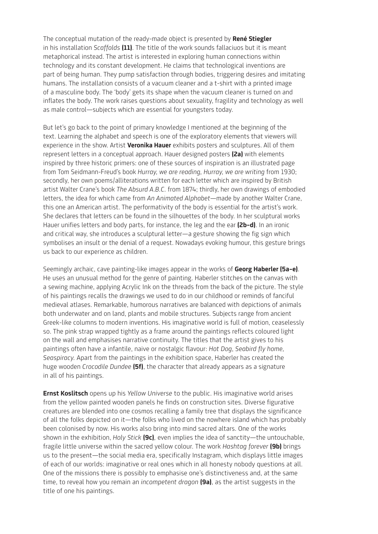The conceptual mutation of the ready-made object is presented by **René Stiegler** in his installation *Scaffolds* **(11)**. The title of the work sounds fallaciuos but it is meant metaphorical instead. The artist is interested in exploring human connections within technology and its constant development. He claims that technological inventions are part of being human. They pump satisfaction through bodies, triggering desires and imitating humans. The installation consists of a vacuum cleaner and a t-shirt with a printed image of a masculine body. The 'body' gets its shape when the vacuum cleaner is turned on and inflates the body. The work raises questions about sexuality, fragility and technology as well as male control—subjects which are essential for youngsters today.

But let's go back to the point of primary knowledge I mentioned at the beginning of the text. Learning the alphabet and speech is one of the exploratory elements that viewers will experience in the show. Artist **Veronika Hauer** exhibits posters and sculptures. All of them represent letters in a conceptual approach. Hauer designed posters **(2a)** with elements inspired by three historic primers: one of these sources of inspiration is an illustrated page from Tom Seidmann-Freud's book *Hurray, we are reading, Hurray, we are writing* from 1930; secondly, her own poems/alliterations written for each letter which are inspired by British artist Walter Crane's book *The Absurd A.B.C.* from 1874; thirdly, her own drawings of embodied letters, the idea for which came from *An Animated Alphabet*—made by another Walter Crane, this one an American artist. The performativity of the body is essential for the artist's work. She declares that letters can be found in the silhouettes of the body. In her sculptural works Hauer unifies letters and body parts, for instance, the leg and the ear **(2b–d)**. In an ironic and critical way, she introduces a sculptural letter—a gesture showing the fig sign which symbolises an insult or the denial of a request. Nowadays evoking humour, this gesture brings us back to our experience as children.

Seemingly archaic, cave painting-like images appear in the works of **Georg Haberler (5a–e)**. He uses an unusual method for the genre of painting. Haberler stitches on the canvas with a sewing machine, applying Acrylic Ink on the threads from the back of the picture. The style of his paintings recalls the drawings we used to do in our childhood or reminds of fanciful medieval atlases. Remarkable, humorous narratives are balanced with depictions of animals both underwater and on land, plants and mobile structures. Subjects range from ancient Greek-like columns to modern inventions. His imaginative world is full of motion, ceaselessly so. The pink strap wrapped tightly as a frame around the paintings reflects coloured light on the wall and emphasises narrative continuity. The titles that the artist gives to his paintings often have a infantile, naive or nostalgic flavour: *Hot Dog*, *Seabird fly home, Seaspiracy.* Apart from the paintings in the exhibition space, Haberler has created the huge wooden *Crocodile Dundee* **(5f)**, the character that already appears as a signature in all of his paintings.

**Ernst Koslitsch** opens up his *Yellow Universe* to the public. His imaginative world arises from the yellow painted wooden panels he finds on construction sites. Diverse figurative creatures are blended into one cosmos recalling a family tree that displays the significance of all the folks depicted on it—the folks who lived on the nowhere island which has probably been colonised by now. His works also bring into mind sacred altars. One of the works shown in the exhibition, *Holy Stick* **(9c)***,* even implies the idea of sanctity—the untouchable, fragile little universe within the sacred yellow colour. The work *Hashtag forever* **(9b)** brings us to the present—the social media era, specifically Instagram, which displays little images of each of our worlds: imaginative or real ones which in all honesty nobody questions at all. One of the missions there is possibly to emphasise one's distinctiveness and, at the same time, to reveal how you remain an *incompetent dragon* **(9a)**, as the artist suggests in the title of one his paintings.